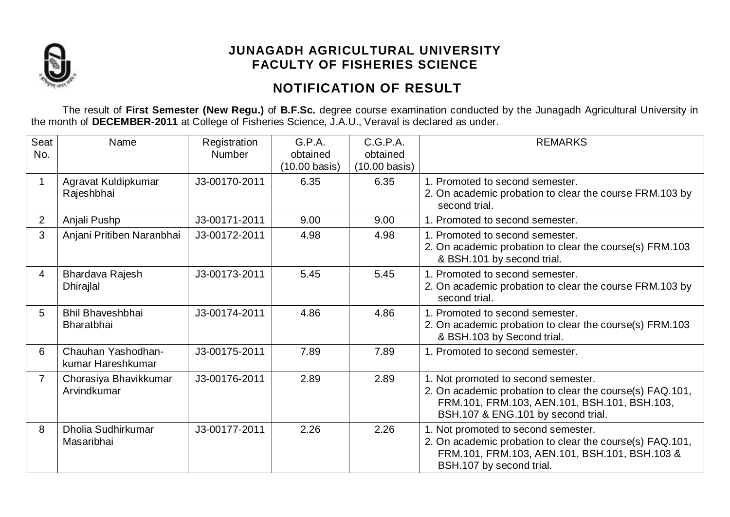

## **JUNAGADH AGRICULTURAL UNIVERSITY FACULTY OF FISHERIES SCIENCE**

# **NOTIFICATION OF RESULT**

The result of **First Semester (New Regu.)** of **B.F.Sc.** degree course examination conducted by the Junagadh Agricultural University in the month of **DECEMBER-2011** at College of Fisheries Science, J.A.U., Veraval is declared as under.

| Seat<br>No.    | Name                                         | Registration<br><b>Number</b> | G.P.A.<br>obtained<br>$(10.00 \text{ basis})$ | C.G.P.A.<br>obtained<br>$(10.00 \text{ basis})$ | <b>REMARKS</b>                                                                                                                                                                        |
|----------------|----------------------------------------------|-------------------------------|-----------------------------------------------|-------------------------------------------------|---------------------------------------------------------------------------------------------------------------------------------------------------------------------------------------|
|                | Agravat Kuldipkumar<br>Rajeshbhai            | J3-00170-2011                 | 6.35                                          | 6.35                                            | 1. Promoted to second semester.<br>2. On academic probation to clear the course FRM.103 by<br>second trial.                                                                           |
| $\overline{2}$ | Anjali Pushp                                 | J3-00171-2011                 | 9.00                                          | 9.00                                            | 1. Promoted to second semester.                                                                                                                                                       |
| 3              | Anjani Pritiben Naranbhai                    | J3-00172-2011                 | 4.98                                          | 4.98                                            | 1. Promoted to second semester.<br>2. On academic probation to clear the course(s) FRM.103<br>& BSH.101 by second trial.                                                              |
| 4              | Bhardava Rajesh<br>Dhirajlal                 | J3-00173-2011                 | 5.45                                          | 5.45                                            | 1. Promoted to second semester.<br>2. On academic probation to clear the course FRM.103 by<br>second trial.                                                                           |
| 5              | <b>Bhil Bhaveshbhai</b><br><b>Bharatbhai</b> | J3-00174-2011                 | 4.86                                          | 4.86                                            | 1. Promoted to second semester.<br>2. On academic probation to clear the course(s) FRM.103<br>& BSH.103 by Second trial.                                                              |
| 6              | Chauhan Yashodhan-<br>kumar Hareshkumar      | J3-00175-2011                 | 7.89                                          | 7.89                                            | 1. Promoted to second semester.                                                                                                                                                       |
| $\overline{7}$ | Chorasiya Bhavikkumar<br>Arvindkumar         | J3-00176-2011                 | 2.89                                          | 2.89                                            | 1. Not promoted to second semester.<br>2. On academic probation to clear the course(s) FAQ.101,<br>FRM.101, FRM.103, AEN.101, BSH.101, BSH.103,<br>BSH.107 & ENG.101 by second trial. |
| 8              | Dholia Sudhirkumar<br>Masaribhai             | J3-00177-2011                 | 2.26                                          | 2.26                                            | 1. Not promoted to second semester.<br>2. On academic probation to clear the course(s) FAQ.101,<br>FRM.101, FRM.103, AEN.101, BSH.101, BSH.103 &<br>BSH.107 by second trial.          |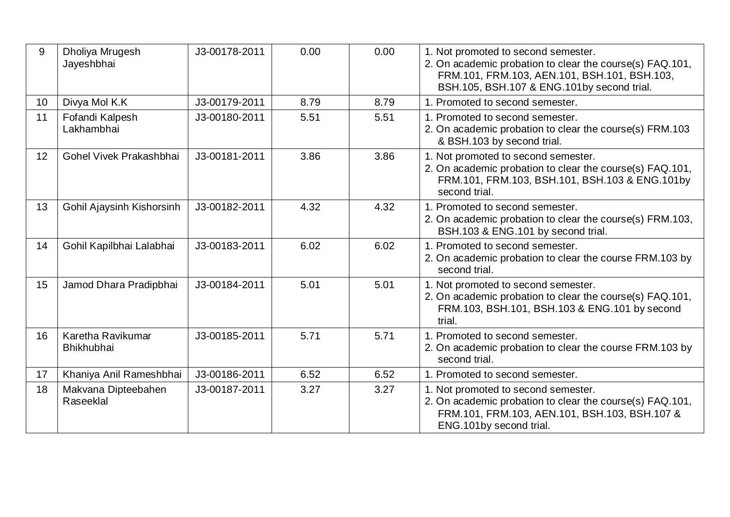| 9               | Dholiya Mrugesh<br>Jayeshbhai    | J3-00178-2011 | 0.00 | 0.00 | 1. Not promoted to second semester.<br>2. On academic probation to clear the course(s) FAQ.101,<br>FRM.101, FRM.103, AEN.101, BSH.101, BSH.103,<br>BSH.105, BSH.107 & ENG.101by second trial. |
|-----------------|----------------------------------|---------------|------|------|-----------------------------------------------------------------------------------------------------------------------------------------------------------------------------------------------|
| 10 <sup>°</sup> | Divya Mol K.K                    | J3-00179-2011 | 8.79 | 8.79 | 1. Promoted to second semester.                                                                                                                                                               |
| 11              | Fofandi Kalpesh<br>Lakhambhai    | J3-00180-2011 | 5.51 | 5.51 | 1. Promoted to second semester.<br>2. On academic probation to clear the course(s) FRM.103<br>& BSH.103 by second trial.                                                                      |
| 12              | Gohel Vivek Prakashbhai          | J3-00181-2011 | 3.86 | 3.86 | 1. Not promoted to second semester.<br>2. On academic probation to clear the course(s) FAQ.101,<br>FRM.101, FRM.103, BSH.101, BSH.103 & ENG.101by<br>second trial.                            |
| 13              | Gohil Ajaysinh Kishorsinh        | J3-00182-2011 | 4.32 | 4.32 | 1. Promoted to second semester.<br>2. On academic probation to clear the course(s) FRM.103,<br>BSH.103 & ENG.101 by second trial.                                                             |
| 14              | Gohil Kapilbhai Lalabhai         | J3-00183-2011 | 6.02 | 6.02 | 1. Promoted to second semester.<br>2. On academic probation to clear the course FRM.103 by<br>second trial.                                                                                   |
| 15              | Jamod Dhara Pradipbhai           | J3-00184-2011 | 5.01 | 5.01 | 1. Not promoted to second semester.<br>2. On academic probation to clear the course(s) FAQ.101,<br>FRM.103, BSH.101, BSH.103 & ENG.101 by second<br>trial.                                    |
| 16              | Karetha Ravikumar<br>Bhikhubhai  | J3-00185-2011 | 5.71 | 5.71 | 1. Promoted to second semester.<br>2. On academic probation to clear the course FRM.103 by<br>second trial.                                                                                   |
| 17              | Khaniya Anil Rameshbhai          | J3-00186-2011 | 6.52 | 6.52 | 1. Promoted to second semester.                                                                                                                                                               |
| 18              | Makvana Dipteebahen<br>Raseeklal | J3-00187-2011 | 3.27 | 3.27 | 1. Not promoted to second semester.<br>2. On academic probation to clear the course(s) FAQ.101,<br>FRM.101, FRM.103, AEN.101, BSH.103, BSH.107 &<br>ENG.101by second trial.                   |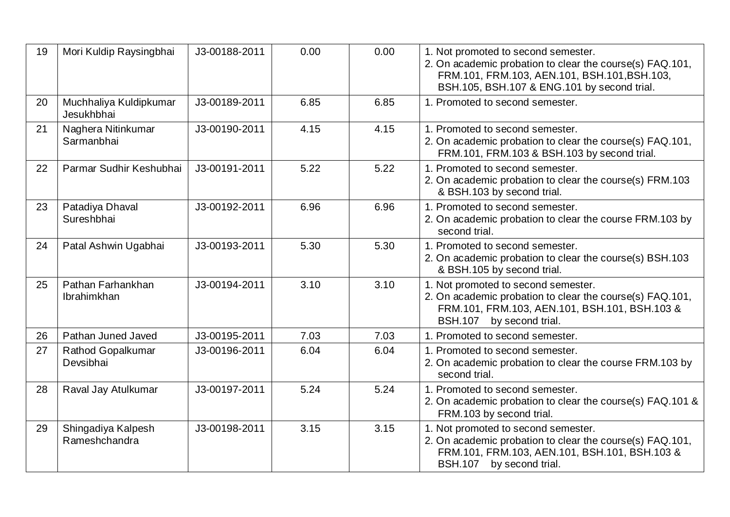| 19 | Mori Kuldip Raysingbhai               | J3-00188-2011 | 0.00 | 0.00 | 1. Not promoted to second semester.<br>2. On academic probation to clear the course(s) FAQ.101,<br>FRM.101, FRM.103, AEN.101, BSH.101, BSH.103,<br>BSH.105, BSH.107 & ENG.101 by second trial. |
|----|---------------------------------------|---------------|------|------|------------------------------------------------------------------------------------------------------------------------------------------------------------------------------------------------|
| 20 | Muchhaliya Kuldipkumar<br>Jesukhbhai  | J3-00189-2011 | 6.85 | 6.85 | 1. Promoted to second semester.                                                                                                                                                                |
| 21 | Naghera Nitinkumar<br>Sarmanbhai      | J3-00190-2011 | 4.15 | 4.15 | 1. Promoted to second semester.<br>2. On academic probation to clear the course(s) FAQ.101,<br>FRM.101, FRM.103 & BSH.103 by second trial.                                                     |
| 22 | Parmar Sudhir Keshubhai               | J3-00191-2011 | 5.22 | 5.22 | 1. Promoted to second semester.<br>2. On academic probation to clear the course(s) FRM.103<br>& BSH.103 by second trial.                                                                       |
| 23 | Patadiya Dhaval<br>Sureshbhai         | J3-00192-2011 | 6.96 | 6.96 | 1. Promoted to second semester.<br>2. On academic probation to clear the course FRM.103 by<br>second trial.                                                                                    |
| 24 | Patal Ashwin Ugabhai                  | J3-00193-2011 | 5.30 | 5.30 | 1. Promoted to second semester.<br>2. On academic probation to clear the course(s) BSH.103<br>& BSH.105 by second trial.                                                                       |
| 25 | Pathan Farhankhan<br>Ibrahimkhan      | J3-00194-2011 | 3.10 | 3.10 | 1. Not promoted to second semester.<br>2. On academic probation to clear the course(s) FAQ.101,<br>FRM.101, FRM.103, AEN.101, BSH.101, BSH.103 &<br><b>BSH.107</b><br>by second trial.         |
| 26 | Pathan Juned Javed                    | J3-00195-2011 | 7.03 | 7.03 | 1. Promoted to second semester.                                                                                                                                                                |
| 27 | <b>Rathod Gopalkumar</b><br>Devsibhai | J3-00196-2011 | 6.04 | 6.04 | 1. Promoted to second semester.<br>2. On academic probation to clear the course FRM.103 by<br>second trial.                                                                                    |
| 28 | Raval Jay Atulkumar                   | J3-00197-2011 | 5.24 | 5.24 | 1. Promoted to second semester.<br>2. On academic probation to clear the course(s) FAQ.101 &<br>FRM.103 by second trial.                                                                       |
| 29 | Shingadiya Kalpesh<br>Rameshchandra   | J3-00198-2011 | 3.15 | 3.15 | 1. Not promoted to second semester.<br>2. On academic probation to clear the course(s) FAQ.101,<br>FRM.101, FRM.103, AEN.101, BSH.101, BSH.103 &<br>BSH.107 by second trial.                   |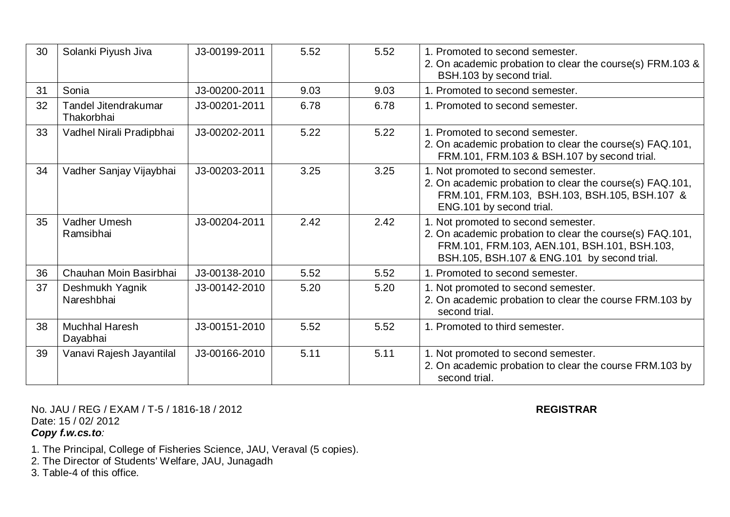| 30 | Solanki Piyush Jiva                | J3-00199-2011 | 5.52 | 5.52 | 1. Promoted to second semester.<br>2. On academic probation to clear the course(s) FRM.103 &<br>BSH.103 by second trial.                                                                       |
|----|------------------------------------|---------------|------|------|------------------------------------------------------------------------------------------------------------------------------------------------------------------------------------------------|
| 31 | Sonia                              | J3-00200-2011 | 9.03 | 9.03 | 1. Promoted to second semester.                                                                                                                                                                |
| 32 | Tandel Jitendrakumar<br>Thakorbhai | J3-00201-2011 | 6.78 | 6.78 | 1. Promoted to second semester.                                                                                                                                                                |
| 33 | Vadhel Nirali Pradipbhai           | J3-00202-2011 | 5.22 | 5.22 | 1. Promoted to second semester.<br>2. On academic probation to clear the course(s) FAQ.101,<br>FRM.101, FRM.103 & BSH.107 by second trial.                                                     |
| 34 | Vadher Sanjay Vijaybhai            | J3-00203-2011 | 3.25 | 3.25 | 1. Not promoted to second semester.<br>2. On academic probation to clear the course(s) FAQ.101,<br>FRM.101, FRM.103, BSH.103, BSH.105, BSH.107 &<br>ENG.101 by second trial.                   |
| 35 | Vadher Umesh<br>Ramsibhai          | J3-00204-2011 | 2.42 | 2.42 | 1. Not promoted to second semester.<br>2. On academic probation to clear the course(s) FAQ.101,<br>FRM.101, FRM.103, AEN.101, BSH.101, BSH.103,<br>BSH.105, BSH.107 & ENG.101 by second trial. |
| 36 | Chauhan Moin Basirbhai             | J3-00138-2010 | 5.52 | 5.52 | 1. Promoted to second semester.                                                                                                                                                                |
| 37 | Deshmukh Yagnik<br>Nareshbhai      | J3-00142-2010 | 5.20 | 5.20 | 1. Not promoted to second semester.<br>2. On academic probation to clear the course FRM.103 by<br>second trial.                                                                                |
| 38 | <b>Muchhal Haresh</b><br>Dayabhai  | J3-00151-2010 | 5.52 | 5.52 | 1. Promoted to third semester.                                                                                                                                                                 |
| 39 | Vanavi Rajesh Jayantilal           | J3-00166-2010 | 5.11 | 5.11 | 1. Not promoted to second semester.<br>2. On academic probation to clear the course FRM.103 by<br>second trial.                                                                                |

No. JAU / REG / EXAM / T-5 / 1816-18 / 2012 **REGISTRAR** Date: 15 / 02/ 2012 *Copy f.w.cs.to:*

- 1. The Principal, College of Fisheries Science, JAU, Veraval (5 copies).
- 2. The Director of Students' Welfare, JAU, Junagadh
- 3. Table-4 of this office.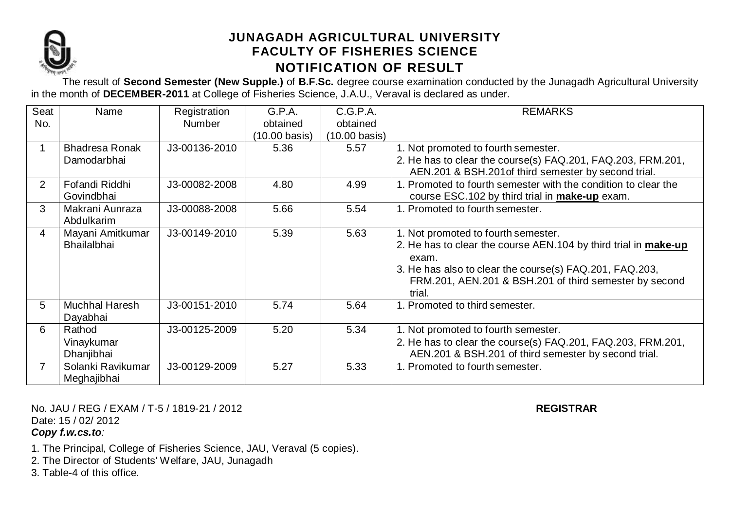

## **JUNAGADH AGRICULTURAL UNIVERSITY FACULTY OF FISHERIES SCIENCE NOTIFICATION OF RESULT**

The result of **Second Semester (New Supple.)** of **B.F.Sc.** degree course examination conducted by the Junagadh Agricultural University in the month of **DECEMBER-2011** at College of Fisheries Science, J.A.U., Veraval is declared as under.

| Seat           | Name                  | Registration  | G.P.A.                  | C.G.P.A.                | <b>REMARKS</b>                                                           |
|----------------|-----------------------|---------------|-------------------------|-------------------------|--------------------------------------------------------------------------|
| No.            |                       | <b>Number</b> | obtained                | obtained                |                                                                          |
|                |                       |               | $(10.00 \text{ basis})$ | $(10.00 \text{ basis})$ |                                                                          |
|                | <b>Bhadresa Ronak</b> | J3-00136-2010 | 5.36                    | 5.57                    | 1. Not promoted to fourth semester.                                      |
|                | Damodarbhai           |               |                         |                         | 2. He has to clear the course(s) FAQ.201, FAQ.203, FRM.201,              |
|                |                       |               |                         |                         | AEN.201 & BSH.201of third semester by second trial.                      |
| $\overline{2}$ | Fofandi Riddhi        | J3-00082-2008 | 4.80                    | 4.99                    | 1. Promoted to fourth semester with the condition to clear the           |
|                | Govindbhai            |               |                         |                         | course ESC.102 by third trial in <b>make-up</b> exam.                    |
| 3              | Makrani Aunraza       | J3-00088-2008 | 5.66                    | 5.54                    | 1. Promoted to fourth semester.                                          |
|                | Abdulkarim            |               |                         |                         |                                                                          |
| 4              | Mayani Amitkumar      | J3-00149-2010 | 5.39                    | 5.63                    | 1. Not promoted to fourth semester.                                      |
|                | <b>Bhailalbhai</b>    |               |                         |                         | 2. He has to clear the course AEN.104 by third trial in make-up<br>exam. |
|                |                       |               |                         |                         | 3. He has also to clear the course(s) FAQ.201, FAQ.203,                  |
|                |                       |               |                         |                         | FRM.201, AEN.201 & BSH.201 of third semester by second                   |
|                |                       |               |                         |                         | trial.                                                                   |
| 5              | <b>Muchhal Haresh</b> | J3-00151-2010 | 5.74                    | 5.64                    | 1. Promoted to third semester.                                           |
|                | Dayabhai              |               |                         |                         |                                                                          |
| 6              | Rathod                | J3-00125-2009 | 5.20                    | 5.34                    | 1. Not promoted to fourth semester.                                      |
|                | Vinaykumar            |               |                         |                         | 2. He has to clear the course(s) FAQ.201, FAQ.203, FRM.201,              |
|                | Dhanjibhai            |               |                         |                         | AEN.201 & BSH.201 of third semester by second trial.                     |
|                | Solanki Ravikumar     | J3-00129-2009 | 5.27                    | 5.33                    | 1. Promoted to fourth semester.                                          |
|                | Meghajibhai           |               |                         |                         |                                                                          |

No. JAU / REG / EXAM / T-5 / 1819-21 / 2012 **REGISTRAR** Date: 15 / 02/ 2012 *Copy f.w.cs.to:*

- 1. The Principal, College of Fisheries Science, JAU, Veraval (5 copies).
- 2. The Director of Students' Welfare, JAU, Junagadh
- 3. Table-4 of this office.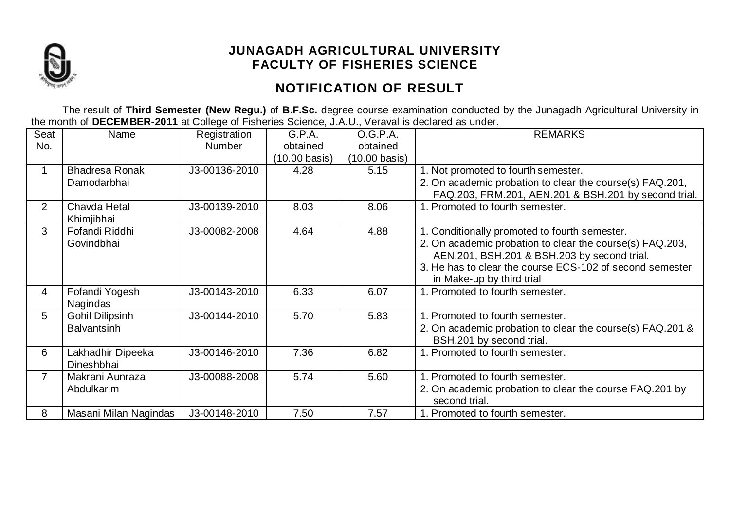

## **JUNAGADH AGRICULTURAL UNIVERSITY FACULTY OF FISHERIES SCIENCE**

# **NOTIFICATION OF RESULT**

The result of **Third Semester (New Regu.)** of **B.F.Sc.** degree course examination conducted by the Junagadh Agricultural University in the month of **DECEMBER-2011** at College of Fisheries Science, J.A.U., Veraval is declared as under.

| Seat           | Name                       | Registration  | G.P.A.                  | O.G.P.A.                | <b>REMARKS</b>                                            |
|----------------|----------------------------|---------------|-------------------------|-------------------------|-----------------------------------------------------------|
| No.            |                            | <b>Number</b> | obtained                | obtained                |                                                           |
|                |                            |               | $(10.00 \text{ basis})$ | $(10.00 \text{ basis})$ |                                                           |
| $\mathbf 1$    | <b>Bhadresa Ronak</b>      | J3-00136-2010 | 4.28                    | 5.15                    | 1. Not promoted to fourth semester.                       |
|                | Damodarbhai                |               |                         |                         | 2. On academic probation to clear the course(s) FAQ.201,  |
|                |                            |               |                         |                         | FAQ.203, FRM.201, AEN.201 & BSH.201 by second trial.      |
| $\overline{2}$ | Chavda Hetal<br>Khimjibhai | J3-00139-2010 | 8.03                    | 8.06                    | 1. Promoted to fourth semester.                           |
| 3              | Fofandi Riddhi             | J3-00082-2008 | 4.64                    | 4.88                    | 1. Conditionally promoted to fourth semester.             |
|                | Govindbhai                 |               |                         |                         | 2. On academic probation to clear the course(s) FAQ.203,  |
|                |                            |               |                         |                         | AEN.201, BSH.201 & BSH.203 by second trial.               |
|                |                            |               |                         |                         | 3. He has to clear the course ECS-102 of second semester  |
|                |                            |               |                         |                         | in Make-up by third trial                                 |
| $\overline{4}$ | Fofandi Yogesh             | J3-00143-2010 | 6.33                    | 6.07                    | 1. Promoted to fourth semester.                           |
|                | Nagindas                   |               |                         |                         |                                                           |
| 5              | <b>Gohil Dilipsinh</b>     | J3-00144-2010 | 5.70                    | 5.83                    | 1. Promoted to fourth semester.                           |
|                | <b>Balvantsinh</b>         |               |                         |                         | 2. On academic probation to clear the course(s) FAQ.201 & |
|                |                            |               |                         |                         | BSH.201 by second trial.                                  |
| 6              | Lakhadhir Dipeeka          | J3-00146-2010 | 7.36                    | 6.82                    | 1. Promoted to fourth semester.                           |
|                | Dineshbhai                 |               |                         |                         |                                                           |
| $\overline{7}$ | Makrani Aunraza            | J3-00088-2008 | 5.74                    | 5.60                    | 1. Promoted to fourth semester.                           |
|                | Abdulkarim                 |               |                         |                         | 2. On academic probation to clear the course FAQ.201 by   |
|                |                            |               |                         |                         | second trial.                                             |
| 8              | Masani Milan Nagindas      | J3-00148-2010 | 7.50                    | 7.57                    | 1. Promoted to fourth semester.                           |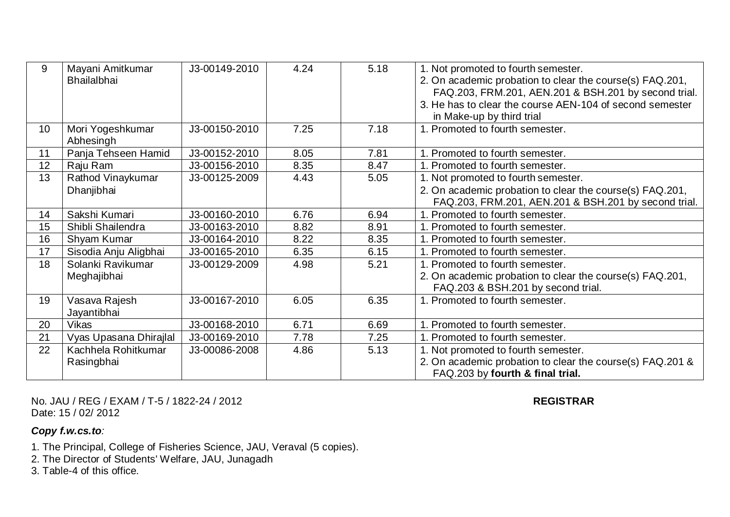| 9  | Mayani Amitkumar<br><b>Bhailalbhai</b> | J3-00149-2010 | 4.24 | 5.18 | 1. Not promoted to fourth semester.<br>2. On academic probation to clear the course(s) FAQ.201,<br>FAQ.203, FRM.201, AEN.201 & BSH.201 by second trial.<br>3. He has to clear the course AEN-104 of second semester<br>in Make-up by third trial |
|----|----------------------------------------|---------------|------|------|--------------------------------------------------------------------------------------------------------------------------------------------------------------------------------------------------------------------------------------------------|
| 10 | Mori Yogeshkumar<br>Abhesingh          | J3-00150-2010 | 7.25 | 7.18 | 1. Promoted to fourth semester.                                                                                                                                                                                                                  |
| 11 | Panja Tehseen Hamid                    | J3-00152-2010 | 8.05 | 7.81 | 1. Promoted to fourth semester.                                                                                                                                                                                                                  |
| 12 | Raju Ram                               | J3-00156-2010 | 8.35 | 8.47 | 1. Promoted to fourth semester.                                                                                                                                                                                                                  |
| 13 | Rathod Vinaykumar                      | J3-00125-2009 | 4.43 | 5.05 | 1. Not promoted to fourth semester.                                                                                                                                                                                                              |
|    | Dhanjibhai                             |               |      |      | 2. On academic probation to clear the course(s) FAQ.201,<br>FAQ.203, FRM.201, AEN.201 & BSH.201 by second trial.                                                                                                                                 |
| 14 | Sakshi Kumari                          | J3-00160-2010 | 6.76 | 6.94 | 1. Promoted to fourth semester.                                                                                                                                                                                                                  |
| 15 | Shibli Shailendra                      | J3-00163-2010 | 8.82 | 8.91 | 1. Promoted to fourth semester.                                                                                                                                                                                                                  |
| 16 | Shyam Kumar                            | J3-00164-2010 | 8.22 | 8.35 | 1. Promoted to fourth semester.                                                                                                                                                                                                                  |
| 17 | Sisodia Anju Aligbhai                  | J3-00165-2010 | 6.35 | 6.15 | 1. Promoted to fourth semester.                                                                                                                                                                                                                  |
| 18 | Solanki Ravikumar                      | J3-00129-2009 | 4.98 | 5.21 | 1. Promoted to fourth semester.                                                                                                                                                                                                                  |
|    | Meghajibhai                            |               |      |      | 2. On academic probation to clear the course(s) FAQ.201,<br>FAQ.203 & BSH.201 by second trial.                                                                                                                                                   |
| 19 | Vasava Rajesh<br>Jayantibhai           | J3-00167-2010 | 6.05 | 6.35 | 1. Promoted to fourth semester.                                                                                                                                                                                                                  |
| 20 | <b>Vikas</b>                           | J3-00168-2010 | 6.71 | 6.69 | 1. Promoted to fourth semester.                                                                                                                                                                                                                  |
| 21 | Vyas Upasana Dhirajlal                 | J3-00169-2010 | 7.78 | 7.25 | 1. Promoted to fourth semester.                                                                                                                                                                                                                  |
| 22 | Kachhela Rohitkumar                    | J3-00086-2008 | 4.86 | 5.13 | 1. Not promoted to fourth semester.                                                                                                                                                                                                              |
|    | Rasingbhai                             |               |      |      | 2. On academic probation to clear the course(s) FAQ.201 &<br>FAQ.203 by fourth & final trial.                                                                                                                                                    |

No. JAU / REG / EXAM / T-5 / 1822-24 / 2012 **REGISTRAR** Date: 15 / 02/ 2012

#### *Copy f.w.cs.to:*

- 1. The Principal, College of Fisheries Science, JAU, Veraval (5 copies).
- 2. The Director of Students' Welfare, JAU, Junagadh
- 3. Table-4 of this office.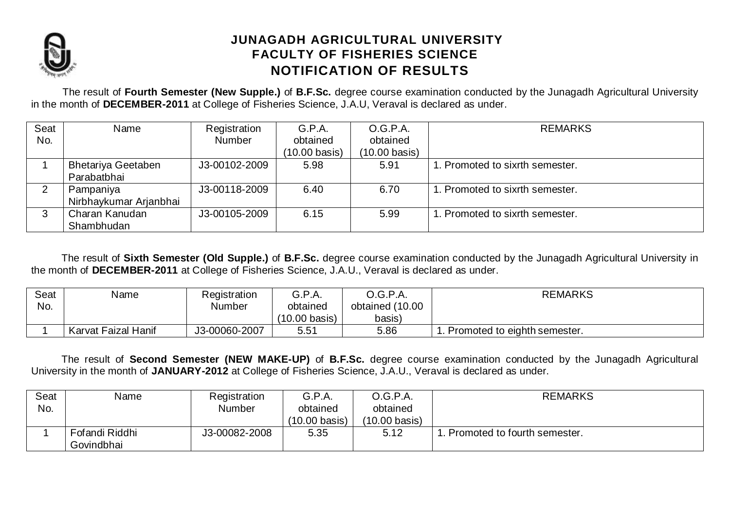

## **JUNAGADH AGRICULTURAL UNIVERSITY FACULTY OF FISHERIES SCIENCE NOTIFICATION OF RESULTS**

The result of **Fourth Semester (New Supple.)** of **B.F.Sc.** degree course examination conducted by the Junagadh Agricultural University in the month of **DECEMBER-2011** at College of Fisheries Science, J.A.U, Veraval is declared as under.

| Seat | Name                      | Registration  | G.P.A.        | O.G.P.A.                | <b>REMARKS</b>                  |
|------|---------------------------|---------------|---------------|-------------------------|---------------------------------|
| No.  |                           | Number        | obtained      | obtained                |                                 |
|      |                           |               | (10.00 basis) | $(10.00 \text{ basis})$ |                                 |
|      | <b>Bhetariya Geetaben</b> | J3-00102-2009 | 5.98          | 5.91                    | 1. Promoted to sixrth semester. |
|      | Parabatbhai               |               |               |                         |                                 |
| C    | Pampaniya                 | J3-00118-2009 | 6.40          | 6.70                    | 1. Promoted to sixrth semester. |
|      | Nirbhaykumar Arjanbhai    |               |               |                         |                                 |
| 3    | Charan Kanudan            | J3-00105-2009 | 6.15          | 5.99                    | 1. Promoted to sixrth semester. |
|      | Shambhudan                |               |               |                         |                                 |

The result of **Sixth Semester (Old Supple.)** of **B.F.Sc.** degree course examination conducted by the Junagadh Agricultural University in the month of **DECEMBER-2011** at College of Fisheries Science, J.A.U., Veraval is declared as under.

| Seat | Name                | Registration  | G.P.A.                  | O.G.P.A.        | <b>REMARKS</b>               |
|------|---------------------|---------------|-------------------------|-----------------|------------------------------|
| No.  |                     | Number        | obtained                | obtained (10.00 |                              |
|      |                     |               | $(10.00 \text{ basis})$ | basis)          |                              |
|      | Karvat Faizal Hanif | J3-00060-2007 | 5.51                    | 5.86            | Promoted to eighth semester. |

The result of **Second Semester (NEW MAKE-UP)** of **B.F.Sc.** degree course examination conducted by the Junagadh Agricultural University in the month of **JANUARY-2012** at College of Fisheries Science, J.A.U., Veraval is declared as under.

| Seat | Name           | Registration  | G.P.A.                  | O.G.P.A.      | <b>REMARKS</b>                 |
|------|----------------|---------------|-------------------------|---------------|--------------------------------|
| No.  |                | Number        | obtained                | obtained      |                                |
|      |                |               | $(10.00 \text{ basis})$ | (10.00 basis) |                                |
|      | Fofandi Riddhi | J3-00082-2008 | 5.35                    | 5.12          | . Promoted to fourth semester. |
|      | Govindbhai     |               |                         |               |                                |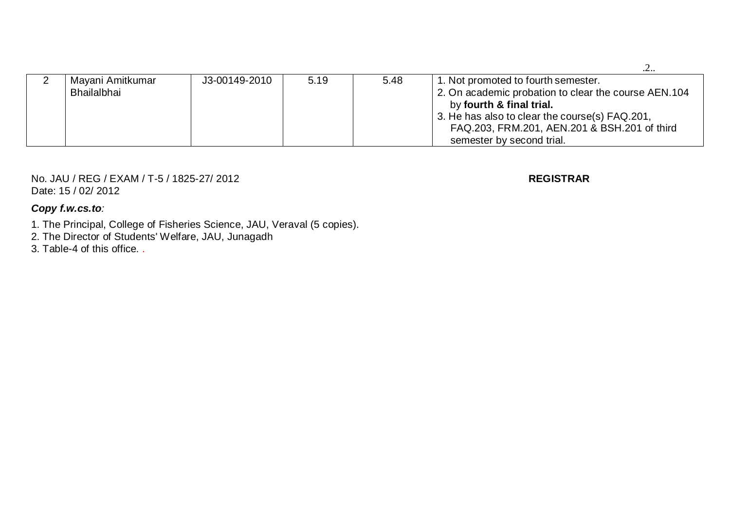|                  |               |      |      | .                                                    |
|------------------|---------------|------|------|------------------------------------------------------|
| Mayani Amitkumar | J3-00149-2010 | 5.19 | 5.48 | 1. Not promoted to fourth semester.                  |
| Bhailalbhai      |               |      |      | 2. On academic probation to clear the course AEN.104 |
|                  |               |      |      | by fourth & final trial.                             |
|                  |               |      |      | 3. He has also to clear the course(s) FAQ.201,       |
|                  |               |      |      | FAQ.203, FRM.201, AEN.201 & BSH.201 of third         |
|                  |               |      |      | semester by second trial.                            |

No. JAU / REG / EXAM / T-5 / 1825-27/ 2012 **REGISTRAR** Date: 15 / 02/ 2012

#### *Copy f.w.cs.to:*

- 1. The Principal, College of Fisheries Science, JAU, Veraval (5 copies).
- 2. The Director of Students' Welfare, JAU, Junagadh
- 3. Table-4 of this office. .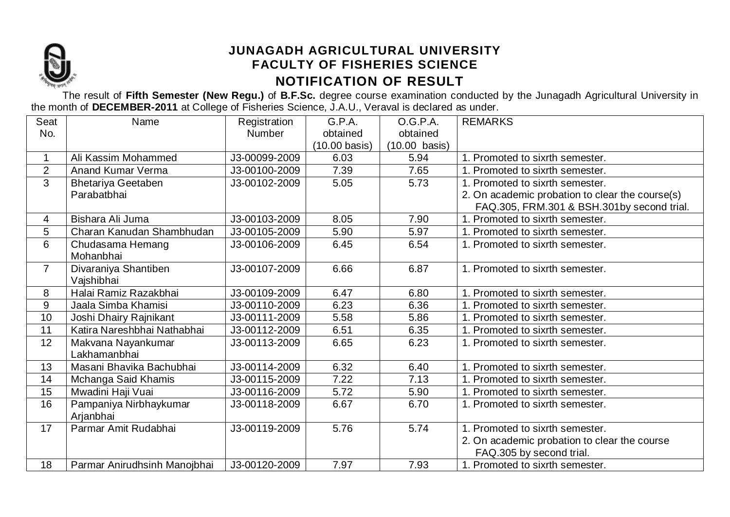

## **JUNAGADH AGRICULTURAL UNIVERSITY FACULTY OF FISHERIES SCIENCE NOTIFICATION OF RESULT**

The result of **Fifth Semester (New Regu.)** of **B.F.Sc.** degree course examination conducted by the Junagadh Agricultural University in the month of **DECEMBER-2011** at College of Fisheries Science, J.A.U., Veraval is declared as under.

| Seat           | Name                         | Registration  | G.P.A.                  | O.G.P.A.                | <b>REMARKS</b>                                  |
|----------------|------------------------------|---------------|-------------------------|-------------------------|-------------------------------------------------|
| No.            |                              | <b>Number</b> | obtained                | obtained                |                                                 |
|                |                              |               | $(10.00 \text{ basis})$ | $(10.00 \text{ basis})$ |                                                 |
| $\mathbf{1}$   | Ali Kassim Mohammed          | J3-00099-2009 | 6.03                    | 5.94                    | 1. Promoted to sixrth semester.                 |
| $\overline{2}$ | <b>Anand Kumar Verma</b>     | J3-00100-2009 | 7.39                    | 7.65                    | 1. Promoted to sixrth semester.                 |
| 3              | <b>Bhetariya Geetaben</b>    | J3-00102-2009 | 5.05                    | 5.73                    | 1. Promoted to sixrth semester.                 |
|                | Parabatbhai                  |               |                         |                         | 2. On academic probation to clear the course(s) |
|                |                              |               |                         |                         | FAQ.305, FRM.301 & BSH.301by second trial.      |
| 4              | Bishara Ali Juma             | J3-00103-2009 | 8.05                    | 7.90                    | 1. Promoted to sixrth semester.                 |
| 5              | Charan Kanudan Shambhudan    | J3-00105-2009 | 5.90                    | 5.97                    | 1. Promoted to sixrth semester.                 |
| 6              | Chudasama Hemang             | J3-00106-2009 | 6.45                    | 6.54                    | 1. Promoted to sixrth semester.                 |
|                | Mohanbhai                    |               |                         |                         |                                                 |
| $\overline{7}$ | Divaraniya Shantiben         | J3-00107-2009 | 6.66                    | 6.87                    | 1. Promoted to sixrth semester.                 |
|                | Vajshibhai                   |               |                         |                         |                                                 |
| 8              | Halai Ramiz Razakbhai        | J3-00109-2009 | 6.47                    | 6.80                    | 1. Promoted to sixrth semester.                 |
| 9              | Jaala Simba Khamisi          | J3-00110-2009 | 6.23                    | 6.36                    | 1. Promoted to sixrth semester.                 |
| 10             | Joshi Dhairy Rajnikant       | J3-00111-2009 | 5.58                    | 5.86                    | 1. Promoted to sixrth semester.                 |
| 11             | Katira Nareshbhai Nathabhai  | J3-00112-2009 | 6.51                    | 6.35                    | 1. Promoted to sixrth semester.                 |
| 12             | Makvana Nayankumar           | J3-00113-2009 | 6.65                    | 6.23                    | 1. Promoted to sixrth semester.                 |
|                | Lakhamanbhai                 |               |                         |                         |                                                 |
| 13             | Masani Bhavika Bachubhai     | J3-00114-2009 | 6.32                    | 6.40                    | 1. Promoted to sixrth semester.                 |
| 14             | Mchanga Said Khamis          | J3-00115-2009 | 7.22                    | 7.13                    | 1. Promoted to sixrth semester.                 |
| 15             | Mwadini Haji Vuai            | J3-00116-2009 | 5.72                    | 5.90                    | 1. Promoted to sixrth semester.                 |
| 16             | Pampaniya Nirbhaykumar       | J3-00118-2009 | 6.67                    | 6.70                    | 1. Promoted to sixrth semester.                 |
|                | Arjanbhai                    |               |                         |                         |                                                 |
| 17             | Parmar Amit Rudabhai         | J3-00119-2009 | 5.76                    | 5.74                    | 1. Promoted to sixrth semester.                 |
|                |                              |               |                         |                         | 2. On academic probation to clear the course    |
|                |                              |               |                         |                         | FAQ.305 by second trial.                        |
| 18             | Parmar Anirudhsinh Manojbhai | J3-00120-2009 | 7.97                    | 7.93                    | 1. Promoted to sixrth semester.                 |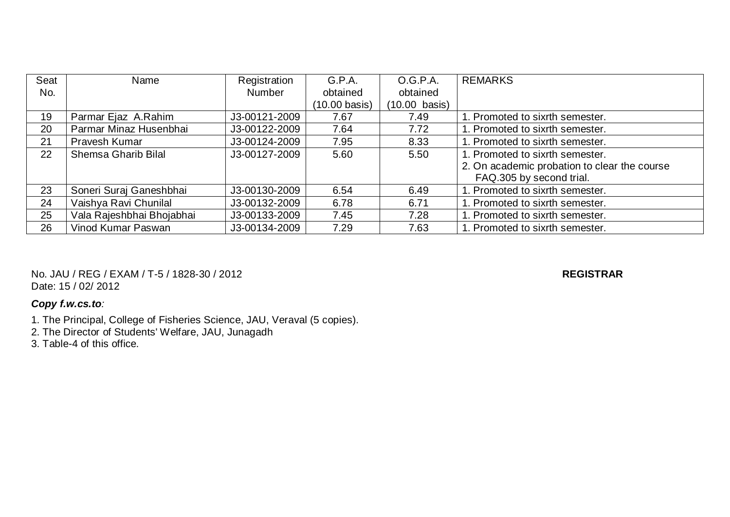| Seat | Name                      | Registration  | G.P.A.                  | O.G.P.A.                | <b>REMARKS</b>                               |
|------|---------------------------|---------------|-------------------------|-------------------------|----------------------------------------------|
| No.  |                           | <b>Number</b> | obtained                | obtained                |                                              |
|      |                           |               | $(10.00 \text{ basis})$ | $(10.00 \text{ basis})$ |                                              |
| 19   | Parmar Ejaz A.Rahim       | J3-00121-2009 | 7.67                    | 7.49                    | 1. Promoted to sixrth semester.              |
| 20   | Parmar Minaz Husenbhai    | J3-00122-2009 | 7.64                    | 7.72                    | 1. Promoted to sixrth semester.              |
| 21   | <b>Pravesh Kumar</b>      | J3-00124-2009 | 7.95                    | 8.33                    | 1. Promoted to sixrth semester.              |
| 22   | Shemsa Gharib Bilal       | J3-00127-2009 | 5.60                    | 5.50                    | 1. Promoted to sixrth semester.              |
|      |                           |               |                         |                         | 2. On academic probation to clear the course |
|      |                           |               |                         |                         | FAQ.305 by second trial.                     |
| 23   | Soneri Suraj Ganeshbhai   | J3-00130-2009 | 6.54                    | 6.49                    | 1. Promoted to sixrth semester.              |
| 24   | Vaishya Ravi Chunilal     | J3-00132-2009 | 6.78                    | 6.71                    | 1. Promoted to sixrth semester.              |
| 25   | Vala Rajeshbhai Bhojabhai | J3-00133-2009 | 7.45                    | 7.28                    | 1. Promoted to sixrth semester.              |
| 26   | Vinod Kumar Paswan        | J3-00134-2009 | 7.29                    | 7.63                    | 1. Promoted to sixrth semester.              |

No. JAU / REG / EXAM / T-5 / 1828-30 / 2012 **REGISTRAR** Date: 15 / 02/ 2012

### *Copy f.w.cs.to:*

- 1. The Principal, College of Fisheries Science, JAU, Veraval (5 copies).
- 2. The Director of Students' Welfare, JAU, Junagadh
- 3. Table-4 of this office.